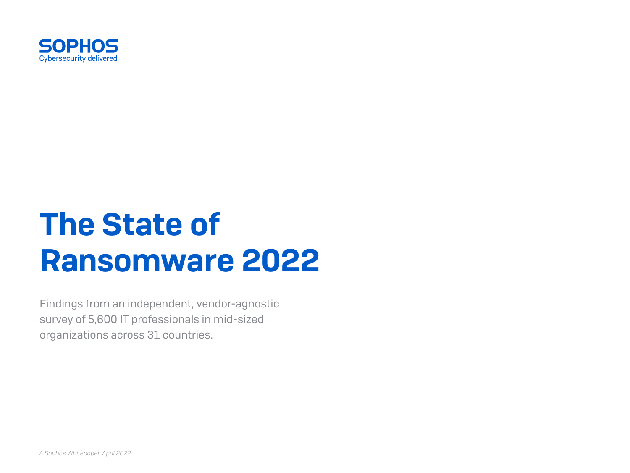

# The State of Ransomware 2022

Findings from an independent, vendor-agnostic survey of 5,600 IT professionals in mid-sized organizations across 31 countries.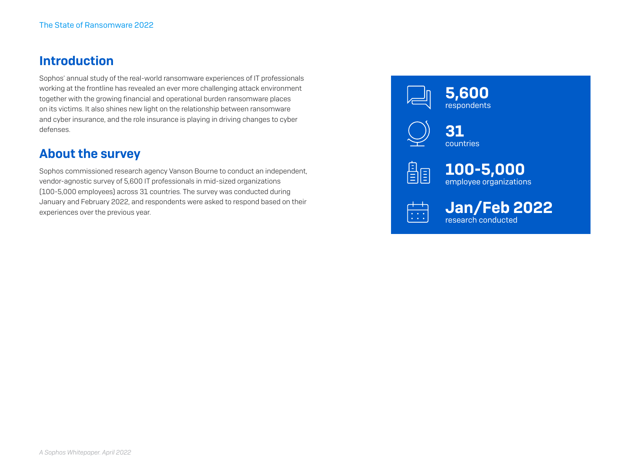#### Introduction

Sophos' annual study of the real-world ransomware experiences of IT professionals working at the frontline has revealed an ever more challenging attack environment together with the growing financial and operational burden ransomware places on its victims. It also shines new light on the relationship between ransomware and cyber insurance, and the role insurance is playing in driving changes to cyber defenses.

#### About the survey

Sophos commissioned research agency Vanson Bourne to conduct an independent, vendor-agnostic survey of 5,600 IT professionals in mid-sized organizations (100-5,000 employees) across 31 countries. The survey was conducted during January and February 2022, and respondents were asked to respond based on their experiences over the previous year.

 5,600 respondents 31 countries 鲁国 100-5,000 employee organizations



 $\begin{array}{cc} \hline \cdots \end{array}$  Jan/Feb 2022 research conducted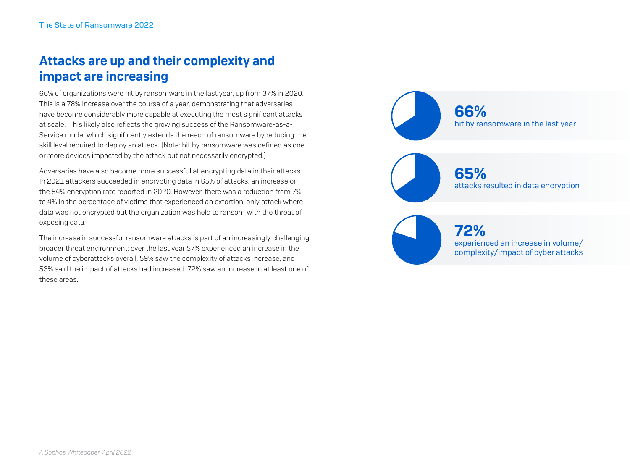# Attacks are up and their complexity and impact are increasing

66% of organizations were hit by ransomware in the last year, up from 37% in 2020. This is a 78% increase over the course of a year, demonstrating that adversaries have become considerably more capable at executing the most significant attacks at scale. This likely also reflects the growing success of the Ransomware-as-a-Service model which significantly extends the reach of ransomware by reducing the skill level required to deploy an attack. [Note: hit by ransomware was defined as one or more devices impacted by the attack but not necessarily encrypted.]

Adversaries have also become more successful at encrypting data in their attacks. In 2021 attackers succeeded in encrypting data in 65% of attacks, an increase on the 54% encryption rate reported in 2020. However, there was a reduction from 7% to 4% in the percentage of victims that experienced an extortion-only attack where data was not encrypted but the organization was held to ransom with the threat of exposing data.

The increase in successful ransomware attacks is part of an increasingly challenging broader threat environment: over the last year 57% experienced an increase in the volume of cyberattacks overall, 59% saw the complexity of attacks increase, and 53% said the impact of attacks had increased. 72% saw an increase in at least one of these areas.

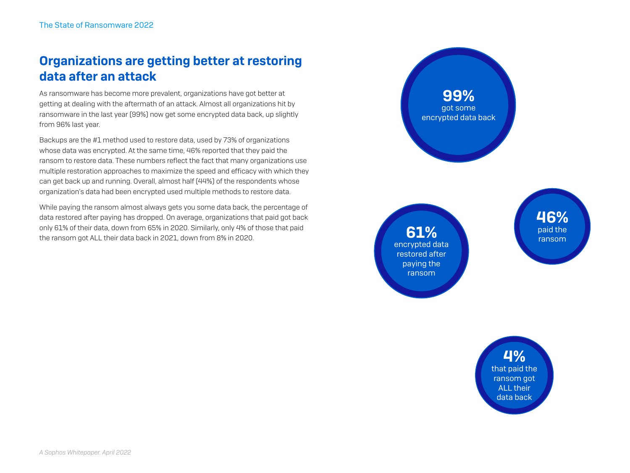# Organizations are getting better at restoring data after an attack

As ransomware has become more prevalent, organizations have got better at getting at dealing with the aftermath of an attack. Almost all organizations hit by ransomware in the last year (99%) now get some encrypted data back, up slightly from 96% last year.

Backups are the #1 method used to restore data, used by 73% of organizations whose data was encrypted. At the same time, 46% reported that they paid the ransom to restore data. These numbers reflect the fact that many organizations use multiple restoration approaches to maximize the speed and efficacy with which they can get back up and running. Overall, almost half (44%) of the respondents whose organization's data had been encrypted used multiple methods to restore data.

While paying the ransom almost always gets you some data back, the percentage of data restored after paying has dropped. On average, organizations that paid got back only 61% of their data, down from 65% in 2020. Similarly, only 4% of those that paid the ransom got ALL their data back in 2021, down from 8% in 2020.

99% got some encrypted data back **46%**<br>paid the **61%** ransom paid the ransom restored after paying the ransom

4% that paid the ransom got ALL their data back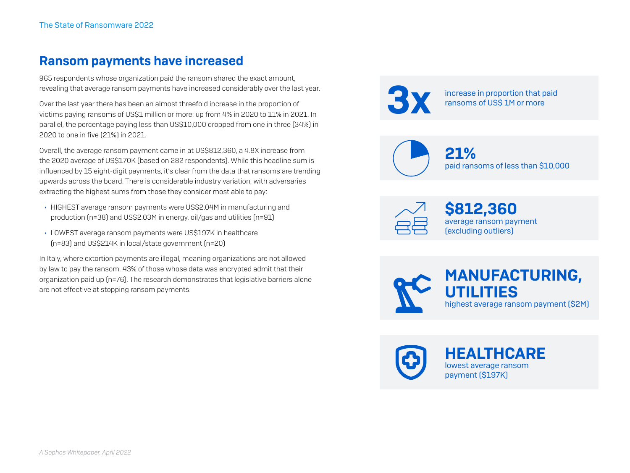#### Ransom payments have increased

965 respondents whose organization paid the ransom shared the exact amount, revealing that average ransom payments have increased considerably over the last year.

Over the last year there has been an almost threefold increase in the proportion of victims paying ransoms of US\$1 million or more: up from 4% in 2020 to 11% in 2021. In parallel, the percentage paying less than US\$10,000 dropped from one in three (34%) in 2020 to one in five (21%) in 2021.

Overall, the average ransom payment came in at US\$812,360, a 4.8X increase from the 2020 average of US\$170K (based on 282 respondents). While this headline sum is influenced by 15 eight-digit payments, it's clear from the data that ransoms are trending upwards across the board. There is considerable industry variation, with adversaries extracting the highest sums from those they consider most able to pay:

- **HIGHEST** average ransom payments were US\$2.04M in manufacturing and production (n=38) and US\$2.03M in energy, oil/gas and utilities (n=91)
- **LOWEST** average ransom payments were US\$197K in healthcare (n=83) and US\$214K in local/state government (n=20)

In Italy, where extortion payments are illegal, meaning organizations are not allowed by law to pay the ransom, 43% of those whose data was encrypted admit that their organization paid up (n=76). The research demonstrates that legislative barriers alone are not effective at stopping ransom payments.



increase in proportion that paid<br>ransoms of US\$ 1M or more



\$812,360 average ransom payment (excluding outliers)

MANUFACTURING, UTILITIES highest average ransom payment (\$2M)



**HEALTHCARE** lowest average ransom payment (\$197K)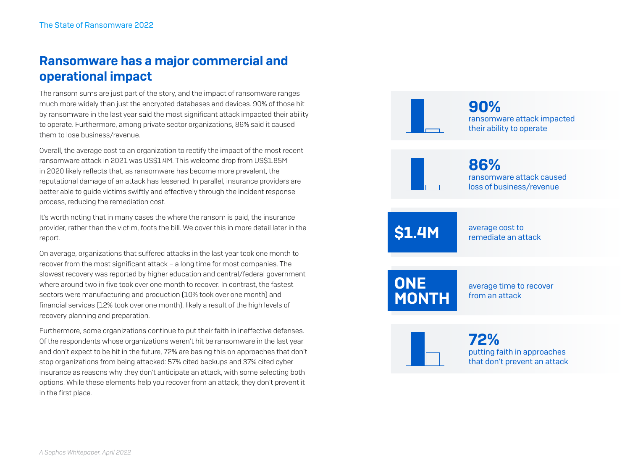# Ransomware has a major commercial and operational impact

The ransom sums are just part of the story, and the impact of ransomware ranges much more widely than just the encrypted databases and devices. 90% of those hit by ransomware in the last year said the most significant attack impacted their ability to operate. Furthermore, among private sector organizations, 86% said it caused them to lose business/revenue.

Overall, the average cost to an organization to rectify the impact of the most recent ransomware attack in 2021 was US\$1.4M. This welcome drop from US\$1.85M in 2020 likely reflects that, as ransomware has become more prevalent, the reputational damage of an attack has lessened. In parallel, insurance providers are better able to guide victims swiftly and effectively through the incident response process, reducing the remediation cost.

It's worth noting that in many cases the where the ransom is paid, the insurance provider, rather than the victim, foots the bill. We cover this in more detail later in the report.

On average, organizations that suffered attacks in the last year took one month to recover from the most significant attack – a long time for most companies. The slowest recovery was reported by higher education and central/federal government where around two in five took over one month to recover. In contrast, the fastest sectors were manufacturing and production (10% took over one month) and financial services (12% took over one month), likely a result of the high levels of recovery planning and preparation.

Furthermore, some organizations continue to put their faith in ineffective defenses. Of the respondents whose organizations weren't hit be ransomware in the last year and don't expect to be hit in the future, 72% are basing this on approaches that don't stop organizations from being attacked: 57% cited backups and 37% cited cyber insurance as reasons why they don't anticipate an attack, with some selecting both options. While these elements help you recover from an attack, they don't prevent it in the first place.

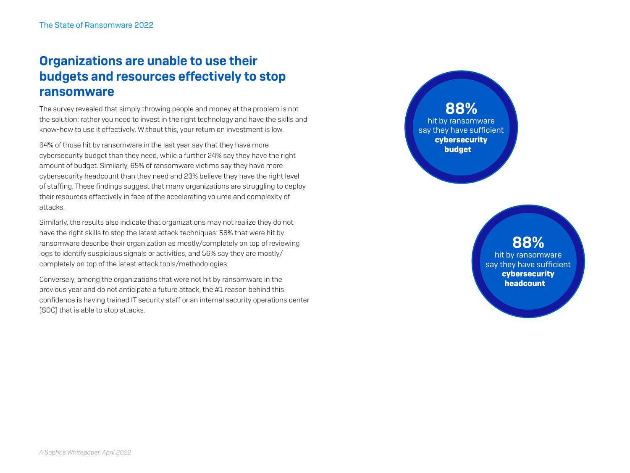## Organizations are unable to use their budgets and resources effectively to stop ransomware

The survey revealed that simply throwing people and money at the problem is not the solution; rather you need to invest in the right technology and have the skills and know-how to use it effectively. Without this, your return on investment is low.

64% of those hit by ransomware in the last year say that they have more cybersecurity budget than they need, while a further 24% say they have the right amount of budget. Similarly, 65% of ransomware victims say they have more cybersecurity headcount than they need and 23% believe they have the right level of staffing. These findings suggest that many organizations are struggling to deploy their resources effectively in face of the accelerating volume and complexity of attacks.

Similarly, the results also indicate that organizations may not realize they do not have the right skills to stop the latest attack techniques: 58% that were hit by ransomware describe their organization as mostly/completely on top of reviewing logs to identify suspicious signals or activities, and 56% say they are mostly/ completely on top of the latest attack tools/methodologies.

Conversely, among the organizations that were not hit by ransomware in the previous year and do not anticipate a future attack, the #1 reason behind this confidence is having trained IT security staff or an internal security operations center (SOC) that is able to stop attacks.

88% hit by ransomware say they have sufficient cybersecurity budget

#### 88% hit by ransomware say they have sufficient cybersecurity headcount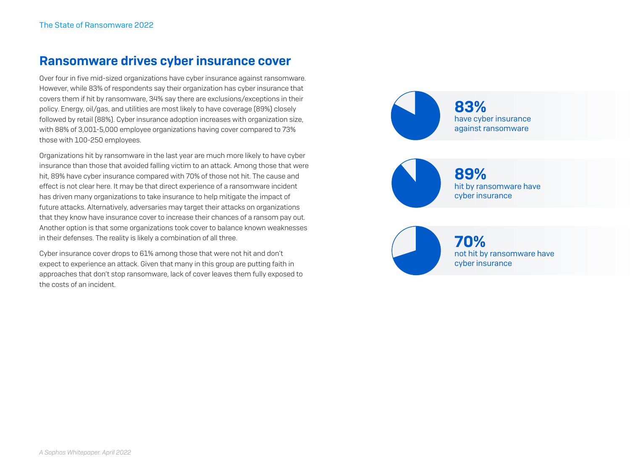#### Ransomware drives cyber insurance cover

Over four in five mid-sized organizations have cyber insurance against ransomware. However, while 83% of respondents say their organization has cyber insurance that covers them if hit by ransomware, 34% say there are exclusions/exceptions in their policy. Energy, oil/gas, and utilities are most likely to have coverage (89%) closely followed by retail (88%). Cyber insurance adoption increases with organization size, with 88% of 3,001-5,000 employee organizations having cover compared to 73% those with 100-250 employees.

Organizations hit by ransomware in the last year are much more likely to have cyber insurance than those that avoided falling victim to an attack. Among those that were hit, 89% have cyber insurance compared with 70% of those not hit. The cause and effect is not clear here. It may be that direct experience of a ransomware incident has driven many organizations to take insurance to help mitigate the impact of future attacks. Alternatively, adversaries may target their attacks on organizations that they know have insurance cover to increase their chances of a ransom pay out. Another option is that some organizations took cover to balance known weaknesses in their defenses. The reality is likely a combination of all three.

Cyber insurance cover drops to 61% among those that were not hit and don't expect to experience an attack. Given that many in this group are putting faith in approaches that don't stop ransomware, lack of cover leaves them fully exposed to the costs of an incident.

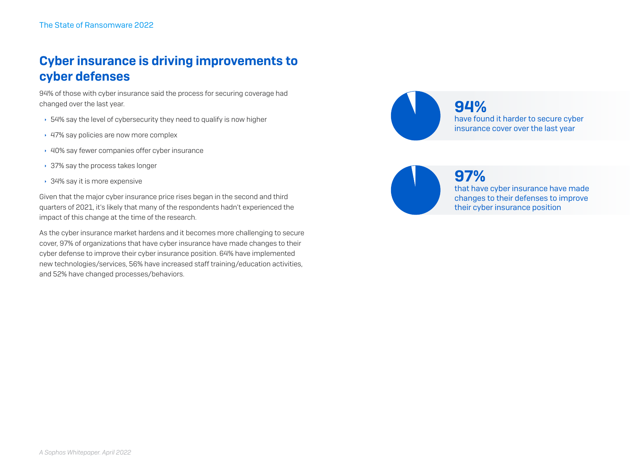# Cyber insurance is driving improvements to cyber defenses

94% of those with cyber insurance said the process for securing coverage had changed over the last year.

- $\rightarrow$  54% say the level of cybersecurity they need to qualify is now higher
- ▸ 47% say policies are now more complex
- $\cdot$  40% say fewer companies offer cyber insurance
- $\cdot$  37% say the process takes longer
- ▸ 34% say it is more expensive

Given that the major cyber insurance price rises began in the second and third quarters of 2021, it's likely that many of the respondents hadn't experienced the impact of this change at the time of the research.

As the cyber insurance market hardens and it becomes more challenging to secure cover, 97% of organizations that have cyber insurance have made changes to their cyber defense to improve their cyber insurance position. 64% have implemented new technologies/services, 56% have increased staff training/education activities, and 52% have changed processes/behaviors.





97%

that have cyber insurance have made changes to their defenses to improve their cyber insurance position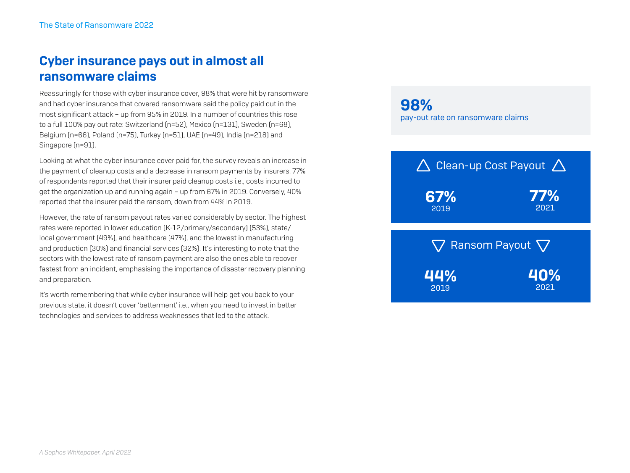# Cyber insurance pays out in almost all ransomware claims

Reassuringly for those with cyber insurance cover, 98% that were hit by ransomware and had cyber insurance that covered ransomware said the policy paid out in the most significant attack – up from 95% in 2019. In a number of countries this rose to a full 100% pay out rate: Switzerland (n=52), Mexico (n=131), Sweden (n=68), Belgium (n=66), Poland (n=75), Turkey (n=51), UAE (n=49), India (n=218) and Singapore (n=91).

Looking at what the cyber insurance cover paid for, the survey reveals an increase in the payment of cleanup costs and a decrease in ransom payments by insurers. 77% of respondents reported that their insurer paid cleanup costs i.e., costs incurred to get the organization up and running again – up from 67% in 2019. Conversely, 40% reported that the insurer paid the ransom, down from 44% in 2019.

However, the rate of ransom payout rates varied considerably by sector. The highest rates were reported in lower education (K-12/primary/secondary) (53%), state/ local government (49%), and healthcare (47%), and the lowest in manufacturing and production (30%) and financial services (32%). It's interesting to note that the sectors with the lowest rate of ransom payment are also the ones able to recover fastest from an incident, emphasising the importance of disaster recovery planning and preparation.

It's worth remembering that while cyber insurance will help get you back to your previous state, it doesn't cover 'betterment' i.e., when you need to invest in better technologies and services to address weaknesses that led to the attack.

98% pay-out rate on ransomware claims

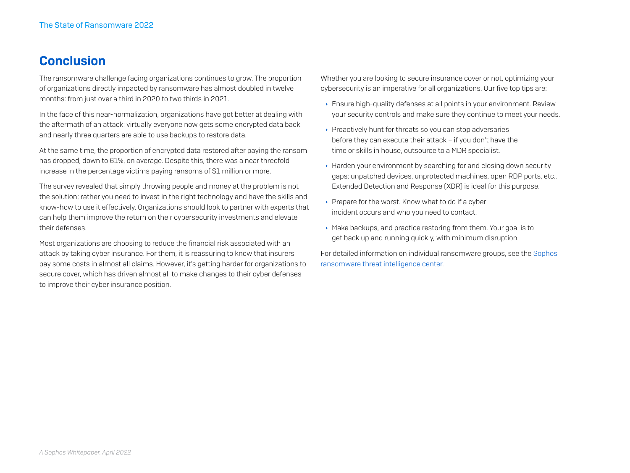#### **Conclusion**

The ransomware challenge facing organizations continues to grow. The proportion of organizations directly impacted by ransomware has almost doubled in twelve months: from just over a third in 2020 to two thirds in 2021.

In the face of this near-normalization, organizations have got better at dealing with the aftermath of an attack: virtually everyone now gets some encrypted data back and nearly three quarters are able to use backups to restore data.

At the same time, the proportion of encrypted data restored after paying the ransom has dropped, down to 61%, on average. Despite this, there was a near threefold increase in the percentage victims paying ransoms of \$1 million or more.

The survey revealed that simply throwing people and money at the problem is not the solution; rather you need to invest in the right technology and have the skills and know-how to use it effectively. Organizations should look to partner with experts that can help them improve the return on their cybersecurity investments and elevate their defenses.

Most organizations are choosing to reduce the financial risk associated with an attack by taking cyber insurance. For them, it is reassuring to know that insurers pay some costs in almost all claims. However, it's getting harder for organizations to secure cover, which has driven almost all to make changes to their cyber defenses to improve their cyber insurance position.

Whether you are looking to secure insurance cover or not, optimizing your cybersecurity is an imperative for all organizations. Our five top tips are:

- **Ensure high-quality defenses at all points in your environment. Review** your security controls and make sure they continue to meet your needs.
- ▶ Proactively hunt for threats so you can stop adversaries before they can execute their attack – if you don't have the time or skills in house, outsource to a MDR specialist.
- $\rightarrow$  Harden your environment by searching for and closing down security gaps: unpatched devices, unprotected machines, open RDP ports, etc.. Extended Detection and Response (XDR) is ideal for this purpose.
- $\rightarrow$  Prepare for the worst. Know what to do if a cyber incident occurs and who you need to contact.
- $\rightarrow$  Make backups, and practice restoring from them. Your goal is to get back up and running quickly, with minimum disruption.

For detailed information on individual ransomware groups, see the [Sophos](https://news.sophos.com/en-us/2022/03/17/the-ransomware-threat-intelligence-center/)  [ransomware threat intelligence center](https://news.sophos.com/en-us/2022/03/17/the-ransomware-threat-intelligence-center/).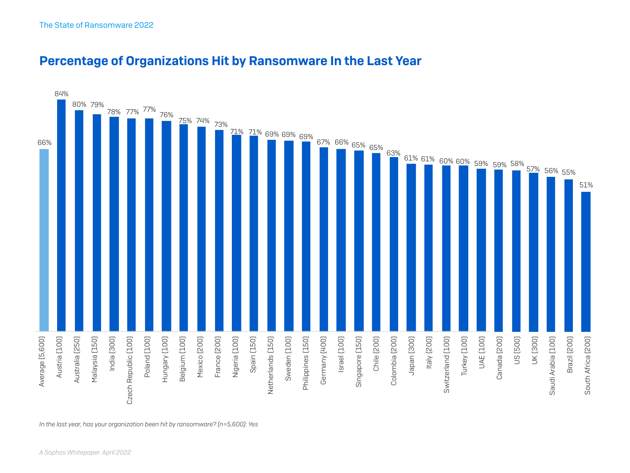

#### Percentage of Organizations Hit by Ransomware In the Last Year

*In the last year, has your organization been hit by ransomware? (n=5,600): Yes*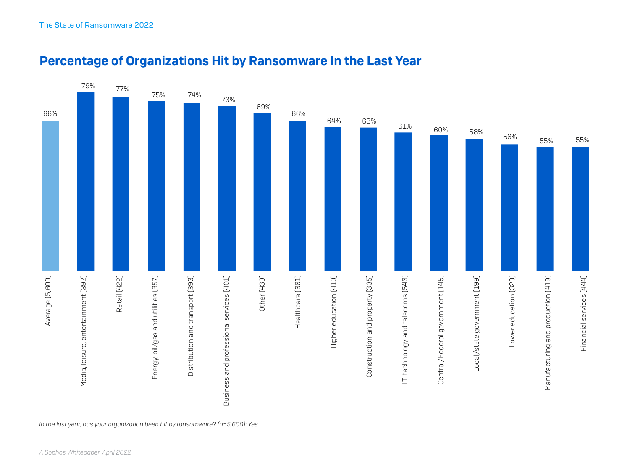

#### Percentage of Organizations Hit by Ransomware In the Last Year

*In the last year, has your organization been hit by ransomware? (n=5,600): Yes*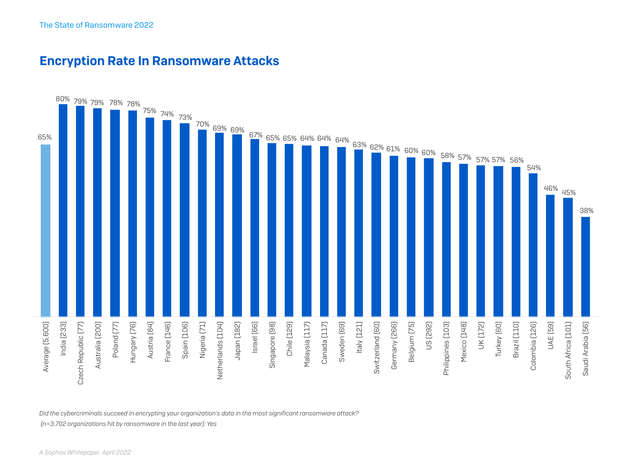



*Did the cybercriminals succeed in encrypting your organization's data in the most significant ransomware attack?*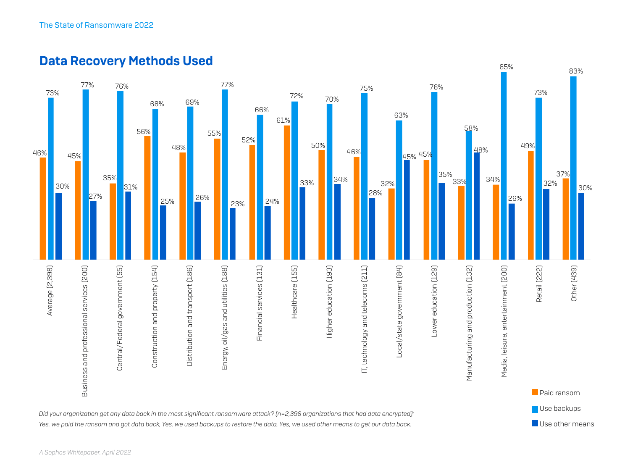

Use other means

*Did your organization get any data back in the most significant ransomware attack? (n=2,398 organizations that had data encrypted): Yes, we paid the ransom and got data back, Yes, we used backups to restore the data, Yes, we used other means to get our data back.*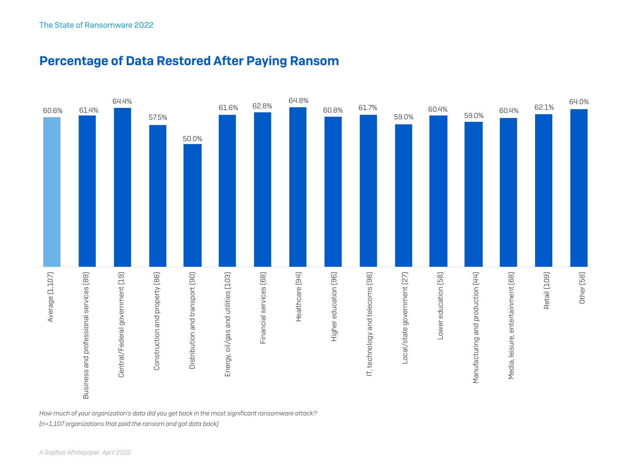



*How much of your organization's data did you get back in the most significant ransomware attack?*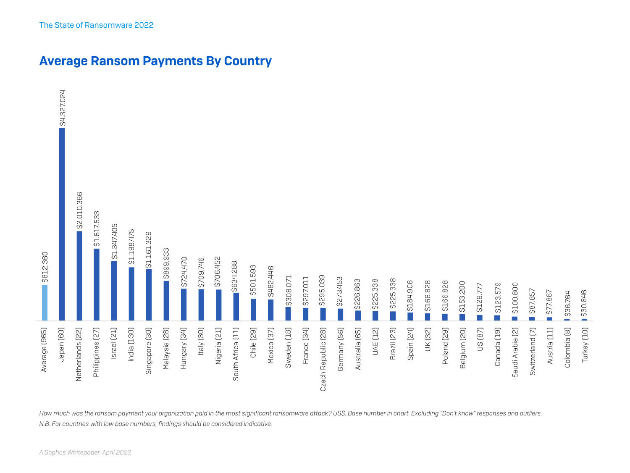

Average Ransom Payments By Country

*How much was the ransom payment your organization paid in the most significant ransomware attack? US\$. Base number in chart. Excluding "Don't know" responses and outliers.*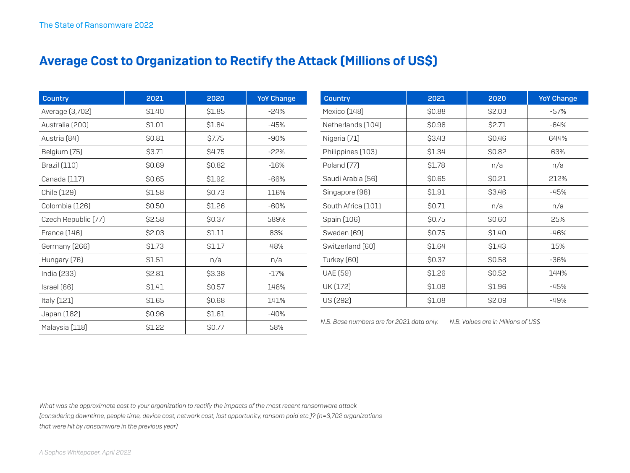### Average Cost to Organization to Rectify the Attack (Millions of US\$)

| <b>Country</b>      | 2021   | 2020         | <b>YoY Change</b> |
|---------------------|--------|--------------|-------------------|
| Average (3,702)     | \$1.40 | \$1.85       | $-24%$            |
| Australia (200)     | \$1.01 | \$1.84       | $-45%$            |
| Austria [84]        | \$0.81 | \$7.75       | $-90%$            |
| Belgium (75)        | \$3.71 | <b>S4.75</b> | $-22%$            |
| <b>Brazil</b> (110) | \$0.69 | \$0.82       | $-16%$            |
| Canada (117)        | \$0.65 | \$1.92       | -66%              |
| Chile (129)         | \$1.58 | \$0.73       | 116%              |
| Colombia (126)      | \$0.50 | \$1.26       | $-60%$            |
| Czech Republic [77] | \$2.58 | \$0.37       | 589%              |
| France (146)        | \$2.03 | \$1.11       | 83%               |
| Germany (266)       | \$1.73 | \$1.17       | 48%               |
| Hungary (76)        | \$1.51 | n/a          | n/a               |
| India (233)         | \$2.81 | \$3.38       | $-17%$            |
| Israel (66)         | \$1.41 | \$0.57       | 148%              |
| Italy (121)         | \$1.65 | <b>SO.68</b> | 141%              |
| Japan (182)         | \$0.96 | \$1.61       | $-40%$            |
| Malaysia (118)      | \$1.22 | \$0.77       | 58%               |

| <b>Country</b>     | 2021   | 2020   | <b>YoY Change</b> |
|--------------------|--------|--------|-------------------|
| Mexico (148)       | \$0.88 | \$2.03 | $-57%$            |
| Netherlands (104)  | \$0.98 | \$2.71 | -64%              |
| Nigeria (71)       | \$3.43 | \$0.46 | 644%              |
| Philippines (103)  | \$1.34 | \$0.82 | 63%               |
| Poland [77]        | \$1.78 | n/a    | n/a               |
| Saudi Arabia (56)  | \$0.65 | \$0.21 | 212%              |
| Singapore [98]     | \$1.91 | \$3.46 | $-45%$            |
| South Africa (101) | \$0.71 | n/a    | n/a               |
| Spain (106)        | \$0.75 | \$0.60 | 25%               |
| Sweden (69)        | \$0.75 | \$1.40 | $-46%$            |
| Switzerland [60]   | \$1.64 | \$1.43 | 15%               |
| Turkey (60)        | \$0.37 | \$0.58 | $-36%$            |
| <b>UAE</b> (59)    | \$1.26 | \$0.52 | 144%              |
| UK (172)           | \$1.08 | \$1.96 | -45%              |
| US (292)           | \$1.08 | \$2.09 | $-49%$            |

*N.B. Base numbers are for 2021 data only. N.B. Values are in Millions of US\$*

*What was the approximate cost to your organization to rectify the impacts of the most recent ransomware attack (considering downtime, people time, device cost, network cost, lost opportunity, ransom paid etc.)? (n=3,702 organizations that were hit by ransomware in the previous year)*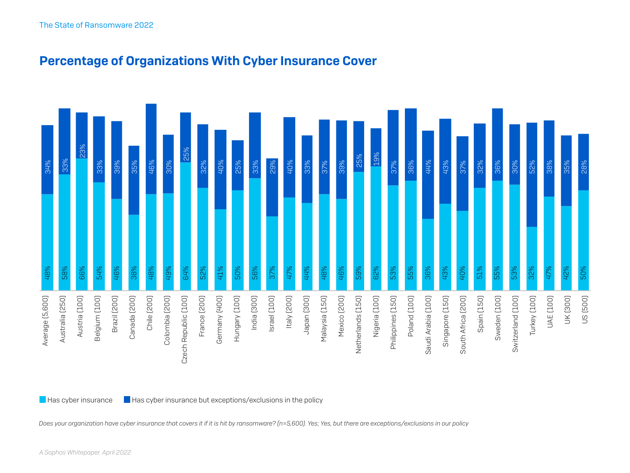

#### Percentage of Organizations With Cyber Insurance Cover

*Does your organization have cyber insurance that covers it if it is hit by ransomware? (n=5,600). Yes; Yes, but there are exceptions/exclusions in our policy*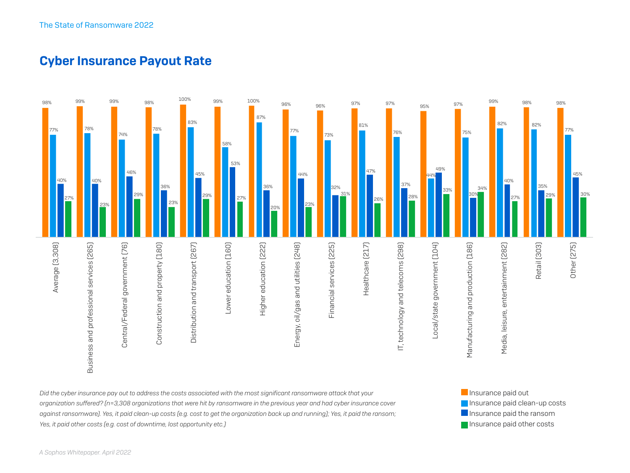#### Cyber Insurance Payout Rate



Insurance paid clean-up costs **Insurance paid the ransom Insurance paid other costs** 

*Did the cyber insurance pay out to address the costs associated with the most significant ransomware attack that your organization suffered? (n=3,308 organizations that were hit by ransomware in the previous year and had cyber insurance cover against ransomware). Yes, it paid clean-up costs (e.g. cost to get the organization back up and running); Yes, it paid the ransom; Yes, it paid other costs (e.g. cost of downtime, lost opportunity etc.)*

*A Sophos Whitepaper. April 2022*